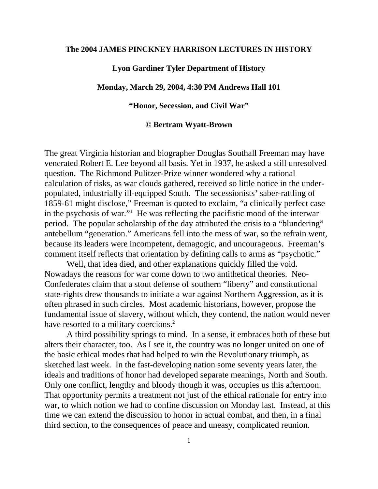### **The 2004 JAMES PINCKNEY HARRISON LECTURES IN HISTORY**

## **Lyon Gardiner Tyler Department of History**

### **Monday, March 29, 2004, 4:30 PM Andrews Hall 101**

### **"Honor, Secession, and Civil War"**

#### **© Bertram Wyatt-Brown**

The great Virginia historian and biographer Douglas Southall Freeman may have venerated Robert E. Lee beyond all basis. Yet in 1937, he asked a still unresolved question. The Richmond Pulitzer-Prize winner wondered why a rational calculation of risks, as war clouds gathered, received so little notice in the underpopulated, industrially ill-equipped South. The secessionists' saber-rattling of 1859-61 might disclose," Freeman is quoted to exclaim, "a clinically perfect case in the psychosis of war."1 He was reflecting the pacifistic mood of the interwar period. The popular scholarship of the day attributed the crisis to a "blundering" antebellum "generation." Americans fell into the mess of war, so the refrain went, because its leaders were incompetent, demagogic, and uncourageous. Freeman's comment itself reflects that orientation by defining calls to arms as "psychotic."

 Well, that idea died, and other explanations quickly filled the void. Nowadays the reasons for war come down to two antithetical theories. Neo-Confederates claim that a stout defense of southern "liberty" and constitutional state-rights drew thousands to initiate a war against Northern Aggression, as it is often phrased in such circles. Most academic historians, however, propose the fundamental issue of slavery, without which, they contend, the nation would never have resorted to a military coercions.<sup>2</sup>

 A third possibility springs to mind. In a sense, it embraces both of these but alters their character, too. As I see it, the country was no longer united on one of the basic ethical modes that had helped to win the Revolutionary triumph, as sketched last week. In the fast-developing nation some seventy years later, the ideals and traditions of honor had developed separate meanings, North and South. Only one conflict, lengthy and bloody though it was, occupies us this afternoon. That opportunity permits a treatment not just of the ethical rationale for entry into war, to which notion we had to confine discussion on Monday last. Instead, at this time we can extend the discussion to honor in actual combat, and then, in a final third section, to the consequences of peace and uneasy, complicated reunion.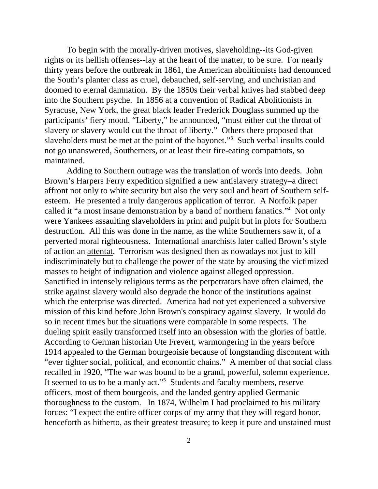To begin with the morally-driven motives, slaveholding--its God-given rights or its hellish offenses--lay at the heart of the matter, to be sure. For nearly thirty years before the outbreak in 1861, the American abolitionists had denounced the South's planter class as cruel, debauched, self-serving, and unchristian and doomed to eternal damnation. By the 1850s their verbal knives had stabbed deep into the Southern psyche. In 1856 at a convention of Radical Abolitionists in Syracuse, New York, the great black leader Frederick Douglass summed up the participants' fiery mood. "Liberty," he announced, "must either cut the throat of slavery or slavery would cut the throat of liberty." Others there proposed that slaveholders must be met at the point of the bayonet."<sup>3</sup> Such verbal insults could not go unanswered, Southerners, or at least their fire-eating compatriots, so maintained.

 Adding to Southern outrage was the translation of words into deeds. John Brown's Harpers Ferry expedition signified a new antislavery strategy–a direct affront not only to white security but also the very soul and heart of Southern selfesteem. He presented a truly dangerous application of terror. A Norfolk paper called it "a most insane demonstration by a band of northern fanatics."4 Not only were Yankees assaulting slaveholders in print and pulpit but in plots for Southern destruction. All this was done in the name, as the white Southerners saw it, of a perverted moral righteousness. International anarchists later called Brown's style of action an attentat. Terrorism was designed then as nowadays not just to kill indiscriminately but to challenge the power of the state by arousing the victimized masses to height of indignation and violence against alleged oppression. Sanctified in intensely religious terms as the perpetrators have often claimed, the strike against slavery would also degrade the honor of the institutions against which the enterprise was directed. America had not yet experienced a subversive mission of this kind before John Brown's conspiracy against slavery. It would do so in recent times but the situations were comparable in some respects. The dueling spirit easily transformed itself into an obsession with the glories of battle. According to German historian Ute Frevert, warmongering in the years before 1914 appealed to the German bourgeoisie because of longstanding discontent with "ever tighter social, political, and economic chains." A member of that social class recalled in 1920, "The war was bound to be a grand, powerful, solemn experience. It seemed to us to be a manly act."<sup>5</sup> Students and faculty members, reserve officers, most of them bourgeois, and the landed gentry applied Germanic thoroughness to the custom. In 1874, Wilhelm I had proclaimed to his military forces: "I expect the entire officer corps of my army that they will regard honor, henceforth as hitherto, as their greatest treasure; to keep it pure and unstained must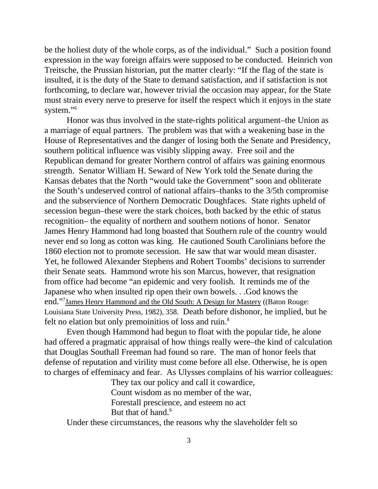be the holiest duty of the whole corps, as of the individual." Such a position found expression in the way foreign affairs were supposed to be conducted. Heinrich von Treitsche, the Prussian historian, put the matter clearly: "If the flag of the state is insulted, it is the duty of the State to demand satisfaction, and if satisfaction is not forthcoming, to declare war, however trivial the occasion may appear, for the State must strain every nerve to preserve for itself the respect which it enjoys in the state system."<sup>6</sup>

 Honor was thus involved in the state-rights political argument–the Union as a marriage of equal partners. The problem was that with a weakening base in the House of Representatives and the danger of losing both the Senate and Presidency, southern political influence was visibly slipping away. Free soil and the Republican demand for greater Northern control of affairs was gaining enormous strength. Senator William H. Seward of New York told the Senate during the Kansas debates that the North "would take the Government" soon and obliterate the South's undeserved control of national affairs–thanks to the 3/5th compromise and the subservience of Northern Democratic Doughfaces. State rights upheld of secession begun–these were the stark choices, both backed by the ethic of status recognition– the equality of northern and southern notions of honor. Senator James Henry Hammond had long boasted that Southern rule of the country would never end so long as cotton was king. He cautioned South Carolinians before the 1860 election not to promote secession. He saw that war would mean disaster. Yet, he followed Alexander Stephens and Robert Toombs' decisions to surrender their Senate seats. Hammond wrote his son Marcus, however, that resignation from office had become "an epidemic and very foolish. It reminds me of the Japanese who when insulted rip open their own bowels. . .God knows the end."<sup>7</sup> James Henry Hammond and the Old South: A Design for Mastery ((Baton Rouge: Louisiana State University Press, 1982), 358. Death before dishonor, he implied, but he felt no elation but only premoinitios of loss and ruin.<sup>8</sup>

 Even though Hammond had begun to float with the popular tide, he alone had offered a pragmatic appraisal of how things really were–the kind of calculation that Douglas Southall Freeman had found so rare. The man of honor feels that defense of reputation and virility must come before all else. Otherwise, he is open to charges of effeminacy and fear. As Ulysses complains of his warrior colleagues:

> They tax our policy and call it cowardice, Count wisdom as no member of the war, Forestall prescience, and esteem no act But that of hand.<sup>9</sup>

Under these circumstances, the reasons why the slaveholder felt so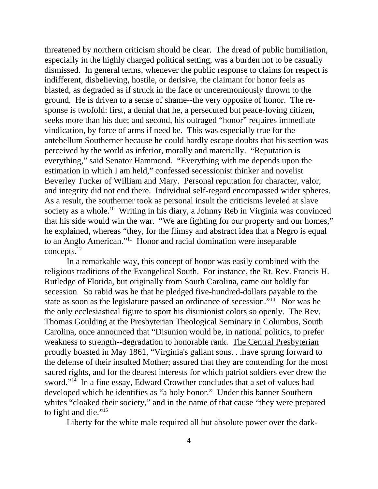threatened by northern criticism should be clear. The dread of public humiliation, especially in the highly charged political setting, was a burden not to be casually dismissed. In general terms, whenever the public response to claims for respect is indifferent, disbelieving, hostile, or derisive, the claimant for honor feels as blasted, as degraded as if struck in the face or unceremoniously thrown to the ground. He is driven to a sense of shame--the very opposite of honor. The response is twofold: first, a denial that he, a persecuted but peace-loving citizen, seeks more than his due; and second, his outraged "honor" requires immediate vindication, by force of arms if need be. This was especially true for the antebellum Southerner because he could hardly escape doubts that his section was perceived by the world as inferior, morally and materially. "Reputation is everything," said Senator Hammond. "Everything with me depends upon the estimation in which I am held," confessed secessionist thinker and novelist Beverley Tucker of William and Mary. Personal reputation for character, valor, and integrity did not end there. Individual self-regard encompassed wider spheres. As a result, the southerner took as personal insult the criticisms leveled at slave society as a whole.<sup>10</sup> Writing in his diary, a Johnny Reb in Virginia was convinced that his side would win the war. "We are fighting for our property and our homes," he explained, whereas "they, for the flimsy and abstract idea that a Negro is equal to an Anglo American."11 Honor and racial domination were inseparable concepts.12

 In a remarkable way, this concept of honor was easily combined with the religious traditions of the Evangelical South. For instance, the Rt. Rev. Francis H. Rutledge of Florida, but originally from South Carolina, came out boldly for secession So rabid was he that he pledged five-hundred-dollars payable to the state as soon as the legislature passed an ordinance of secession."13 Nor was he the only ecclesiastical figure to sport his disunionist colors so openly. The Rev. Thomas Goulding at the Presbyterian Theological Seminary in Columbus, South Carolina, once announced that "Disunion would be, in national politics, to prefer weakness to strength--degradation to honorable rank. The Central Presbyterian proudly boasted in May 1861, "Virginia's gallant sons. . .have sprung forward to the defense of their insulted Mother; assured that they are contending for the most sacred rights, and for the dearest interests for which patriot soldiers ever drew the sword."<sup>14</sup> In a fine essay, Edward Crowther concludes that a set of values had developed which he identifies as "a holy honor." Under this banner Southern whites "cloaked their society," and in the name of that cause "they were prepared to fight and die."<sup>15</sup>

Liberty for the white male required all but absolute power over the dark-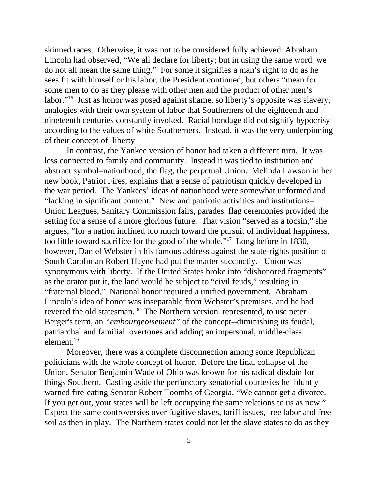skinned races. Otherwise, it was not to be considered fully achieved. Abraham Lincoln had observed, "We all declare for liberty; but in using the same word, we do not all mean the same thing." For some it signifies a man's right to do as he sees fit with himself or his labor, the President continued, but others "mean for some men to do as they please with other men and the product of other men's labor."16 Just as honor was posed against shame, so liberty's opposite was slavery, analogies with their own system of labor that Southerners of the eighteenth and nineteenth centuries constantly invoked. Racial bondage did not signify hypocrisy according to the values of white Southerners. Instead, it was the very underpinning of their concept of liberty

 In contrast, the Yankee version of honor had taken a different turn. It was less connected to family and community. Instead it was tied to institution and abstract symbol–nationhood, the flag, the perpetual Union. Melinda Lawson in her new book, Patriot Fires, explains that a sense of patriotism quickly developed in the war period. The Yankees' ideas of nationhood were somewhat unformed and "lacking in significant content." New and patriotic activities and institutions– Union Leagues, Sanitary Commission fairs, parades, flag ceremonies provided the setting for a sense of a more glorious future. That vision "served as a tocsin," she argues, "for a nation inclined too much toward the pursuit of individual happiness, too little toward sacrifice for the good of the whole."17 Long before in 1830, however, Daniel Webster in his famous address against the state-rights position of South Carolinian Robert Hayne had put the matter succinctly. Union was synonymous with liberty. If the United States broke into "dishonored fragments" as the orator put it, the land would be subject to "civil feuds," resulting in "fraternal blood." National honor required a unified government. Abraham Lincoln's idea of honor was inseparable from Webster's premises, and he had revered the old statesman.<sup>18</sup> The Northern version represented, to use peter Berger's term, an *"embourgeoisement"* of the concept--diminishing its feudal, patriarchal and familial overtones and adding an impersonal, middle-class element.19

 Moreover, there was a complete disconnection among some Republican politicians with the whole concept of honor. Before the final collapse of the Union, Senator Benjamin Wade of Ohio was known for his radical disdain for things Southern. Casting aside the perfunctory senatorial courtesies he bluntly warned fire-eating Senator Robert Toombs of Georgia, "We cannot get a divorce. If you get out, your states will be left occupying the same relations to us as now." Expect the same controversies over fugitive slaves, tariff issues, free labor and free soil as then in play. The Northern states could not let the slave states to do as they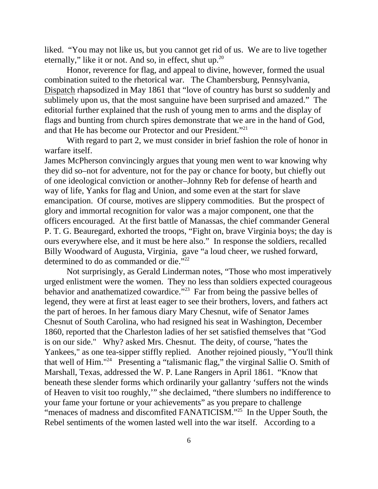liked. "You may not like us, but you cannot get rid of us. We are to live together eternally," like it or not. And so, in effect, shut up.<sup>20</sup>

 Honor, reverence for flag, and appeal to divine, however, formed the usual combination suited to the rhetorical war. The Chambersburg, Pennsylvania, Dispatch rhapsodized in May 1861 that "love of country has burst so suddenly and sublimely upon us, that the most sanguine have been surprised and amazed." The editorial further explained that the rush of young men to arms and the display of flags and bunting from church spires demonstrate that we are in the hand of God, and that He has become our Protector and our President."21

 With regard to part 2, we must consider in brief fashion the role of honor in warfare itself.

James McPherson convincingly argues that young men went to war knowing why they did so–not for adventure, not for the pay or chance for booty, but chiefly out of one ideological conviction or another–Johnny Reb for defense of hearth and way of life, Yanks for flag and Union, and some even at the start for slave emancipation. Of course, motives are slippery commodities. But the prospect of glory and immortal recognition for valor was a major component, one that the officers encouraged. At the first battle of Manassas, the chief commander General P. T. G. Beauregard, exhorted the troops, "Fight on, brave Virginia boys; the day is ours everywhere else, and it must be here also." In response the soldiers, recalled Billy Woodward of Augusta, Virginia, gave "a loud cheer, we rushed forward, determined to do as commanded or die."<sup>22</sup>

 Not surprisingly, as Gerald Linderman notes, "Those who most imperatively urged enlistment were the women. They no less than soldiers expected courageous behavior and anathematized cowardice."<sup>23</sup> Far from being the passive belles of legend, they were at first at least eager to see their brothers, lovers, and fathers act the part of heroes. In her famous diary Mary Chesnut, wife of Senator James Chesnut of South Carolina, who had resigned his seat in Washington, December 1860, reported that the Charleston ladies of her set satisfied themselves that "God is on our side." Why? asked Mrs. Chesnut. The deity, of course, "hates the Yankees," as one tea-sipper stiffly replied. Another rejoined piously, "You'll think that well of Him."24 Presenting a "talismanic flag," the virginal Sallie O. Smith of Marshall, Texas, addressed the W. P. Lane Rangers in April 1861. "Know that beneath these slender forms which ordinarily your gallantry 'suffers not the winds of Heaven to visit too roughly,'" she declaimed, "there slumbers no indifference to your fame your fortune or your achievements" as you prepare to challenge "menaces of madness and discomfited FANATICISM."<sup>25</sup> In the Upper South, the Rebel sentiments of the women lasted well into the war itself. According to a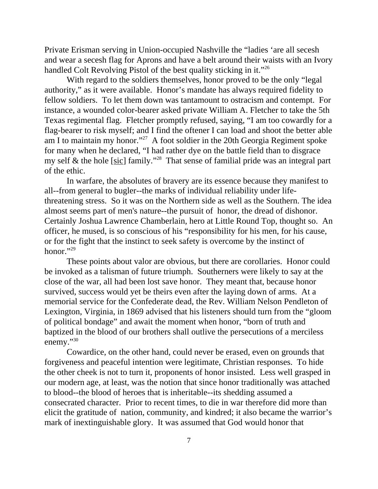Private Erisman serving in Union-occupied Nashville the "ladies 'are all secesh and wear a secesh flag for Aprons and have a belt around their waists with an Ivory handled Colt Revolving Pistol of the best quality sticking in it."<sup>26</sup>

 With regard to the soldiers themselves, honor proved to be the only "legal authority," as it were available. Honor's mandate has always required fidelity to fellow soldiers. To let them down was tantamount to ostracism and contempt. For instance, a wounded color-bearer asked private William A. Fletcher to take the 5th Texas regimental flag. Fletcher promptly refused, saying, "I am too cowardly for a flag-bearer to risk myself; and I find the oftener I can load and shoot the better able am I to maintain my honor."27 A foot soldier in the 20th Georgia Regiment spoke for many when he declared, "I had rather dye on the battle field than to disgrace my self  $\&$  the hole [sic] family."<sup>28</sup> That sense of familial pride was an integral part of the ethic.

 In warfare, the absolutes of bravery are its essence because they manifest to all--from general to bugler--the marks of individual reliability under lifethreatening stress. So it was on the Northern side as well as the Southern. The idea almost seems part of men's nature--the pursuit of honor, the dread of dishonor. Certainly Joshua Lawrence Chamberlain, hero at Little Round Top, thought so. An officer, he mused, is so conscious of his "responsibility for his men, for his cause, or for the fight that the instinct to seek safety is overcome by the instinct of honor."<sup>29</sup>

 These points about valor are obvious, but there are corollaries. Honor could be invoked as a talisman of future triumph. Southerners were likely to say at the close of the war, all had been lost save honor. They meant that, because honor survived, success would yet be theirs even after the laying down of arms. At a memorial service for the Confederate dead, the Rev. William Nelson Pendleton of Lexington, Virginia, in 1869 advised that his listeners should turn from the "gloom of political bondage" and await the moment when honor, "born of truth and baptized in the blood of our brothers shall outlive the persecutions of a merciless enemy."30

 Cowardice, on the other hand, could never be erased, even on grounds that forgiveness and peaceful intention were legitimate, Christian responses. To hide the other cheek is not to turn it, proponents of honor insisted. Less well grasped in our modern age, at least, was the notion that since honor traditionally was attached to blood--the blood of heroes that is inheritable--its shedding assumed a consecrated character. Prior to recent times, to die in war therefore did more than elicit the gratitude of nation, community, and kindred; it also became the warrior's mark of inextinguishable glory. It was assumed that God would honor that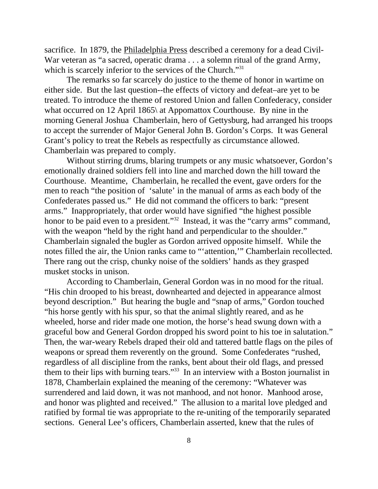sacrifice. In 1879, the Philadelphia Press described a ceremony for a dead Civil-War veteran as "a sacred, operatic drama . . . a solemn ritual of the grand Army, which is scarcely inferior to the services of the Church."<sup>31</sup>

 The remarks so far scarcely do justice to the theme of honor in wartime on either side. But the last question--the effects of victory and defeat–are yet to be treated. To introduce the theme of restored Union and fallen Confederacy, consider what occurred on 12 April 1865\ at Appomattox Courthouse. By nine in the morning General Joshua Chamberlain, hero of Gettysburg, had arranged his troops to accept the surrender of Major General John B. Gordon's Corps. It was General Grant's policy to treat the Rebels as respectfully as circumstance allowed. Chamberlain was prepared to comply.

 Without stirring drums, blaring trumpets or any music whatsoever, Gordon's emotionally drained soldiers fell into line and marched down the hill toward the Courthouse. Meantime, Chamberlain, he recalled the event, gave orders for the men to reach "the position of 'salute' in the manual of arms as each body of the Confederates passed us." He did not command the officers to bark: "present arms." Inappropriately, that order would have signified "the highest possible honor to be paid even to a president."<sup>32</sup> Instead, it was the "carry arms" command, with the weapon "held by the right hand and perpendicular to the shoulder." Chamberlain signaled the bugler as Gordon arrived opposite himself. While the notes filled the air, the Union ranks came to "'attention,'" Chamberlain recollected. There rang out the crisp, chunky noise of the soldiers' hands as they grasped musket stocks in unison.

 According to Chamberlain, General Gordon was in no mood for the ritual. "His chin drooped to his breast, downhearted and dejected in appearance almost beyond description." But hearing the bugle and "snap of arms," Gordon touched "his horse gently with his spur, so that the animal slightly reared, and as he wheeled, horse and rider made one motion, the horse's head swung down with a graceful bow and General Gordon dropped his sword point to his toe in salutation." Then, the war-weary Rebels draped their old and tattered battle flags on the piles of weapons or spread them reverently on the ground. Some Confederates "rushed, regardless of all discipline from the ranks, bent about their old flags, and pressed them to their lips with burning tears."<sup>33</sup> In an interview with a Boston journalist in 1878, Chamberlain explained the meaning of the ceremony: "Whatever was surrendered and laid down, it was not manhood, and not honor. Manhood arose, and honor was plighted and received." The allusion to a marital love pledged and ratified by formal tie was appropriate to the re-uniting of the temporarily separated sections. General Lee's officers, Chamberlain asserted, knew that the rules of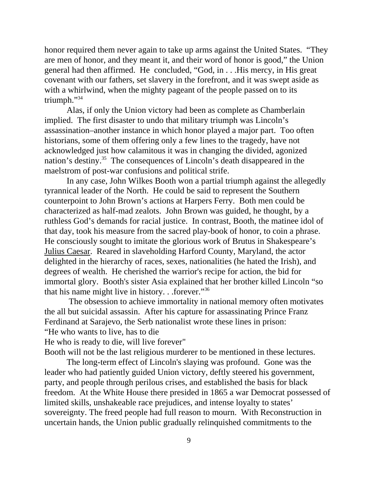honor required them never again to take up arms against the United States. "They are men of honor, and they meant it, and their word of honor is good," the Union general had then affirmed. He concluded, "God, in . . .His mercy, in His great covenant with our fathers, set slavery in the forefront, and it was swept aside as with a whirlwind, when the mighty pageant of the people passed on to its triumph."34

 Alas, if only the Union victory had been as complete as Chamberlain implied. The first disaster to undo that military triumph was Lincoln's assassination–another instance in which honor played a major part. Too often historians, some of them offering only a few lines to the tragedy, have not acknowledged just how calamitous it was in changing the divided, agonized nation's destiny.<sup>35</sup> The consequences of Lincoln's death disappeared in the maelstrom of post-war confusions and political strife.

 In any case, John Wilkes Booth won a partial triumph against the allegedly tyrannical leader of the North. He could be said to represent the Southern counterpoint to John Brown's actions at Harpers Ferry. Both men could be characterized as half-mad zealots. John Brown was guided, he thought, by a ruthless God's demands for racial justice. In contrast, Booth, the matinee idol of that day, took his measure from the sacred play-book of honor, to coin a phrase. He consciously sought to imitate the glorious work of Brutus in Shakespeare's Julius Caesar. Reared in slaveholding Harford County, Maryland, the actor delighted in the hierarchy of races, sexes, nationalities (he hated the Irish), and degrees of wealth. He cherished the warrior's recipe for action, the bid for immortal glory. Booth's sister Asia explained that her brother killed Lincoln "so that his name might live in history. . .forever."36

 The obsession to achieve immortality in national memory often motivates the all but suicidal assassin. After his capture for assassinating Prince Franz Ferdinand at Sarajevo, the Serb nationalist wrote these lines in prison: "He who wants to live, has to die

He who is ready to die, will live forever"

Booth will not be the last religious murderer to be mentioned in these lectures.

 The long-term effect of Lincoln's slaying was profound. Gone was the leader who had patiently guided Union victory, deftly steered his government, party, and people through perilous crises, and established the basis for black freedom. At the White House there presided in 1865 a war Democrat possessed of limited skills, unshakeable race prejudices, and intense loyalty to states' sovereignty. The freed people had full reason to mourn. With Reconstruction in uncertain hands, the Union public gradually relinquished commitments to the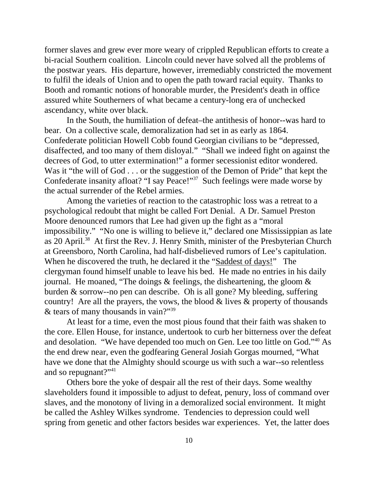former slaves and grew ever more weary of crippled Republican efforts to create a bi-racial Southern coalition. Lincoln could never have solved all the problems of the postwar years. His departure, however, irremediably constricted the movement to fulfil the ideals of Union and to open the path toward racial equity. Thanks to Booth and romantic notions of honorable murder, the President's death in office assured white Southerners of what became a century-long era of unchecked ascendancy, white over black.

 In the South, the humiliation of defeat–the antithesis of honor--was hard to bear. On a collective scale, demoralization had set in as early as 1864. Confederate politician Howell Cobb found Georgian civilians to be "depressed, disaffected, and too many of them disloyal." "Shall we indeed fight on against the decrees of God, to utter extermination!" a former secessionist editor wondered. Was it "the will of God . . . or the suggestion of the Demon of Pride" that kept the Confederate insanity afloat? "I say Peace!"<sup>37</sup> Such feelings were made worse by the actual surrender of the Rebel armies.

 Among the varieties of reaction to the catastrophic loss was a retreat to a psychological redoubt that might be called Fort Denial. A Dr. Samuel Preston Moore denounced rumors that Lee had given up the fight as a "moral impossibility." "No one is willing to believe it," declared one Mississippian as late as 20 April.38 At first the Rev. J. Henry Smith, minister of the Presbyterian Church at Greensboro, North Carolina, had half-disbelieved rumors of Lee's capitulation. When he discovered the truth, he declared it the "Saddest of days!" The clergyman found himself unable to leave his bed. He made no entries in his daily journal. He moaned, "The doings & feelings, the disheartening, the gloom & burden & sorrow--no pen can describe. Oh is all gone? My bleeding, suffering country! Are all the prayers, the vows, the blood  $&$  lives  $&$  property of thousands & tears of many thousands in vain?"39

 At least for a time, even the most pious found that their faith was shaken to the core. Ellen House, for instance, undertook to curb her bitterness over the defeat and desolation. "We have depended too much on Gen. Lee too little on God."40 As the end drew near, even the godfearing General Josiah Gorgas mourned, "What have we done that the Almighty should scourge us with such a war--so relentless and so repugnant?"41

 Others bore the yoke of despair all the rest of their days. Some wealthy slaveholders found it impossible to adjust to defeat, penury, loss of command over slaves, and the monotony of living in a demoralized social environment. It might be called the Ashley Wilkes syndrome. Tendencies to depression could well spring from genetic and other factors besides war experiences. Yet, the latter does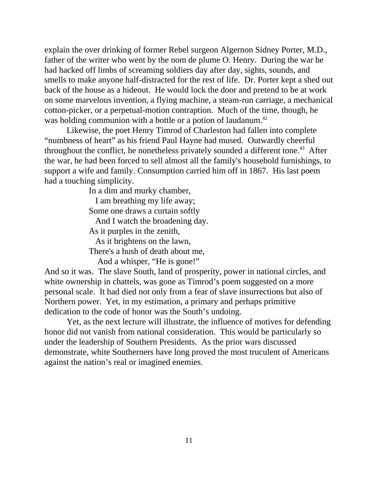explain the over drinking of former Rebel surgeon Algernon Sidney Porter, M.D., father of the writer who went by the nom de plume O. Henry. During the war he had hacked off limbs of screaming soldiers day after day, sights, sounds, and smells to make anyone half-distracted for the rest of life. Dr. Porter kept a shed out back of the house as a hideout. He would lock the door and pretend to be at work on some marvelous invention, a flying machine, a steam-run carriage, a mechanical cotton-picker, or a perpetual-motion contraption. Much of the time, though, he was holding communion with a bottle or a potion of laudanum.<sup>42</sup>

 Likewise, the poet Henry Timrod of Charleston had fallen into complete "numbness of heart" as his friend Paul Hayne had mused. Outwardly cheerful throughout the conflict, he nonetheless privately sounded a different tone.<sup>43</sup> After the war, he had been forced to sell almost all the family's household furnishings, to support a wife and family. Consumption carried him off in 1867. His last poem had a touching simplicity.

In a dim and murky chamber,

 I am breathing my life away; Some one draws a curtain softly And I watch the broadening day. As it purples in the zenith, As it brightens on the lawn, There's a hush of death about me,

And a whisper, "He is gone!"

And so it was. The slave South, land of prosperity, power in national circles, and white ownership in chattels, was gone as  $Timrod's$  poem suggested on a more personal scale. It had died not only from a fear of slave insurrections but also of Northern power. Yet, in my estimation, a primary and perhaps primitive dedication to the code of honor was the South's undoing.

 Yet, as the next lecture will illustrate, the influence of motives for defending honor did not vanish from national consideration. This would be particularly so under the leadership of Southern Presidents. As the prior wars discussed demonstrate, white Southerners have long proved the most truculent of Americans against the nation's real or imagined enemies.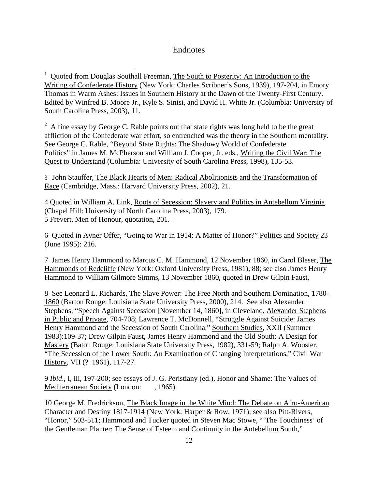# Endnotes

<sup>1</sup> Quoted from Douglas Southall Freeman, The South to Posterity: An Introduction to the Writing of Confederate History (New York: Charles Scribner's Sons, 1939), 197-204, in Emory Thomas in Warm Ashes: Issues in Southern History at the Dawn of the Twenty-First Century. Edited by Winfred B. Moore Jr., Kyle S. Sinisi, and David H. White Jr. (Columbia: University of South Carolina Press, 2003), 11.

 $2^2$  A fine essay by George C. Rable points out that state rights was long held to be the great affliction of the Confederate war effort, so entrenched was the theory in the Southern mentality. See George C. Rable, "Beyond State Rights: The Shadowy World of Confederate Politics" in James M. McPherson and William J. Cooper, Jr. eds., Writing the Civil War: The Quest to Understand (Columbia: University of South Carolina Press, 1998), 135-53.

3 John Stauffer, The Black Hearts of Men: Radical Abolitionists and the Transformation of Race (Cambridge, Mass.: Harvard University Press, 2002), 21.

4 Quoted in William A. Link, Roots of Secession: Slavery and Politics in Antebellum Virginia (Chapel Hill: University of North Carolina Press, 2003), 179. 5 Frevert, Men of Honour, quotation, 201.

6 Quoted in Avner Offer, "Going to War in 1914: A Matter of Honor?" Politics and Society 23 (June 1995): 216.

7 James Henry Hammond to Marcus C. M. Hammond, 12 November 1860, in Carol Bleser, The Hammonds of Redcliffe (New York: Oxford University Press, 1981), 88; see also James Henry Hammond to William Gilmore Simms, 13 November 1860, quoted in Drew Gilpin Faust,

8 See Leonard L. Richards, The Slave Power: The Free North and Southern Domination, 1780- 1860 (Barton Rouge: Louisiana State University Press, 2000), 214. See also Alexander Stephens, "Speech Against Secession [November 14, 1860], in Cleveland, Alexander Stephens in Public and Private, 704-708; Lawrence T. McDonnell, "Struggle Against Suicide: James Henry Hammond and the Secession of South Carolina," Southern Studies, XXII (Summer 1983):109-37; Drew Gilpin Faust, James Henry Hammond and the Old South: A Design for Mastery (Baton Rouge: Louisiana State University Press, 1982), 331-59; Ralph A. Wooster, "The Secession of the Lower South: An Examination of Changing Interpretations," Civil War History, VII (? 1961), 117-27.

9 *Ibid*., I, iii, 197-200; see essays of J. G. Peristiany (ed.), Honor and Shame: The Values of Mediterranean Society (London: , 1965).

10 George M. Fredrickson, The Black Image in the White Mind: The Debate on Afro-American Character and Destiny 1817-1914 (New York: Harper & Row, 1971); see also Pitt-Rivers, "Honor," 503-511; Hammond and Tucker quoted in Steven Mac Stowe, "'The Touchiness' of the Gentleman Planter: The Sense of Esteem and Continuity in the Antebellum South,"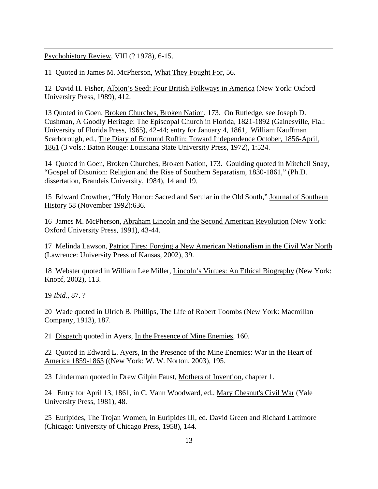Psychohistory Review, VIII (? 1978), 6-15.

 $\overline{\phantom{a}}$ 

11 Quoted in James M. McPherson, What They Fought For, 56.

12 David H. Fisher, Albion's Seed: Four British Folkways in America (New York: Oxford University Press, 1989), 412.

13 Quoted in Goen, Broken Churches, Broken Nation, 173. On Rutledge, see Joseph D. Cushman, A Goodly Heritage: The Episcopal Church in Florida, 1821-1892 (Gainesville, Fla.: University of Florida Press, 1965), 42-44; entry for January 4, 1861, William Kauffman Scarborough, ed., The Diary of Edmund Ruffin: Toward Independence October, 1856-April, 1861 (3 vols.: Baton Rouge: Louisiana State University Press, 1972), 1:524.

14 Quoted in Goen, Broken Churches, Broken Nation, 173. Goulding quoted in Mitchell Snay, "Gospel of Disunion: Religion and the Rise of Southern Separatism, 1830-1861," (Ph.D. dissertation, Brandeis University, 1984), 14 and 19.

15 Edward Crowther, "Holy Honor: Sacred and Secular in the Old South," Journal of Southern History 58 (November 1992):636.

16 James M. McPherson, Abraham Lincoln and the Second American Revolution (New York: Oxford University Press, 1991), 43-44.

17 Melinda Lawson, Patriot Fires: Forging a New American Nationalism in the Civil War North (Lawrence: University Press of Kansas, 2002), 39.

18 Webster quoted in William Lee Miller, Lincoln's Virtues: An Ethical Biography (New York: Knopf, 2002), 113.

19 *Ibid.,* 87. ?

20 Wade quoted in Ulrich B. Phillips, The Life of Robert Toombs (New York: Macmillan Company, 1913), 187.

21 Dispatch quoted in Ayers, In the Presence of Mine Enemies, 160.

22 Quoted in Edward L. Ayers, In the Presence of the Mine Enemies: War in the Heart of America 1859-1863 ((New York: W. W. Norton, 2003), 195.

23 Linderman quoted in Drew Gilpin Faust, Mothers of Invention, chapter 1.

24 Entry for April 13, 1861, in C. Vann Woodward, ed., Mary Chesnut's Civil War (Yale University Press, 1981), 48.

25 Euripides, The Trojan Women, in Euripides III, ed. David Green and Richard Lattimore (Chicago: University of Chicago Press, 1958), 144.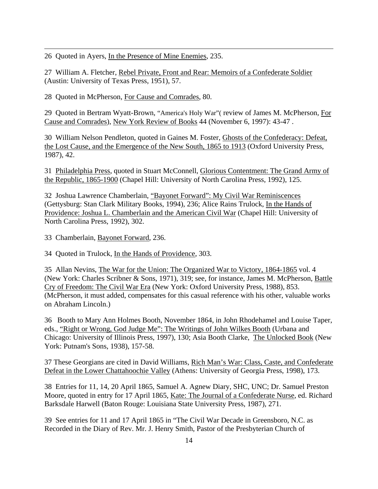26 Quoted in Ayers, In the Presence of Mine Enemies, 235.

 $\overline{\phantom{a}}$ 

27 William A. Fletcher, Rebel Private, Front and Rear: Memoirs of a Confederate Soldier (Austin: University of Texas Press, 1951), 57.

28 Quoted in McPherson, For Cause and Comrades, 80.

29 Quoted in Bertram Wyatt-Brown, "America's Holy War"( review of James M. McPherson, For Cause and Comrades), New York Review of Books 44 (November 6, 1997): 43-47 .

30 William Nelson Pendleton, quoted in Gaines M. Foster, Ghosts of the Confederacy: Defeat, the Lost Cause, and the Emergence of the New South, 1865 to 1913 (Oxford University Press, 1987), 42.

31 Philadelphia Press, quoted in Stuart McConnell, Glorious Contentment: The Grand Army of the Republic, 1865-1900 (Chapel Hill: University of North Carolina Press, 1992), 125.

32 Joshua Lawrence Chamberlain, "Bayonet Forward": My Civil War Reminiscences (Gettysburg: Stan Clark Military Books, 1994), 236; Alice Rains Trulock, In the Hands of Providence: Joshua L. Chamberlain and the American Civil War (Chapel Hill: University of North Carolina Press, 1992), 302.

33 Chamberlain, Bayonet Forward, 236.

34 Quoted in Trulock, In the Hands of Providence, 303.

35 Allan Nevins, The War for the Union: The Organized War to Victory, 1864-1865 vol. 4 (New York: Charles Scribner & Sons, 1971), 319; see, for instance, James M. McPherson, Battle Cry of Freedom: The Civil War Era (New York: Oxford University Press, 1988), 853. (McPherson, it must added, compensates for this casual reference with his other, valuable works on Abraham Lincoln.)

36 Booth to Mary Ann Holmes Booth, November 1864, in John Rhodehamel and Louise Taper, eds., "Right or Wrong, God Judge Me": The Writings of John Wilkes Booth (Urbana and Chicago: University of Illinois Press, 1997), 130; Asia Booth Clarke, The Unlocked Book (New York: Putnam's Sons, 1938), 157-58.

37 These Georgians are cited in David Williams, Rich Man's War: Class, Caste, and Confederate Defeat in the Lower Chattahoochie Valley (Athens: University of Georgia Press, 1998), 173.

38 Entries for 11, 14, 20 April 1865, Samuel A. Agnew Diary, SHC, UNC; Dr. Samuel Preston Moore, quoted in entry for 17 April 1865, Kate: The Journal of a Confederate Nurse, ed. Richard Barksdale Harwell (Baton Rouge: Louisiana State University Press, 1987), 271.

39 See entries for 11 and 17 April 1865 in "The Civil War Decade in Greensboro, N.C. as Recorded in the Diary of Rev. Mr. J. Henry Smith, Pastor of the Presbyterian Church of